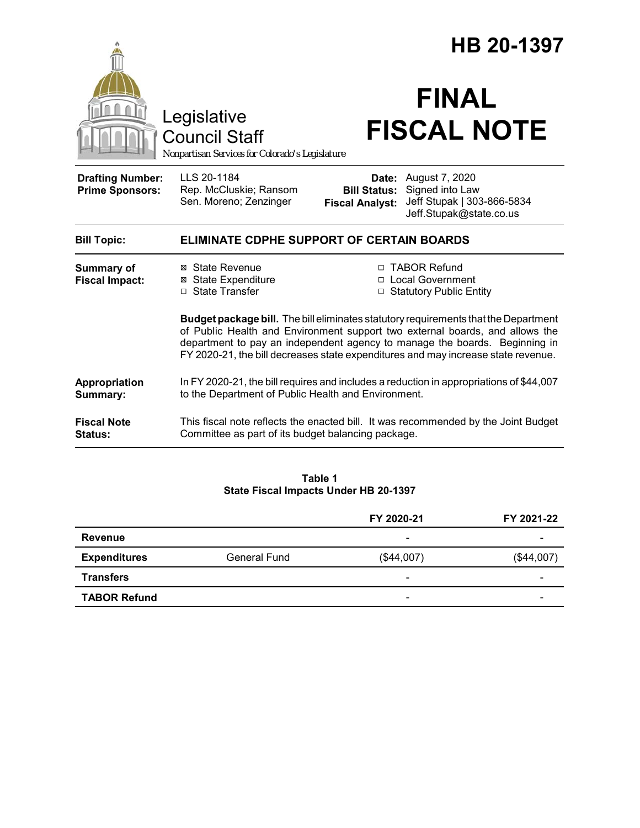|                                                   | Legislative<br><b>Council Staff</b><br>Nonpartisan Services for Colorado's Legislature                                                                                                                                                                                                                                                        |                                               | HB 20-1397<br><b>FINAL</b><br><b>FISCAL NOTE</b>                                                        |  |
|---------------------------------------------------|-----------------------------------------------------------------------------------------------------------------------------------------------------------------------------------------------------------------------------------------------------------------------------------------------------------------------------------------------|-----------------------------------------------|---------------------------------------------------------------------------------------------------------|--|
| <b>Drafting Number:</b><br><b>Prime Sponsors:</b> | LLS 20-1184<br>Rep. McCluskie; Ransom<br>Sen. Moreno; Zenzinger                                                                                                                                                                                                                                                                               | <b>Bill Status:</b><br><b>Fiscal Analyst:</b> | <b>Date:</b> August 7, 2020<br>Signed into Law<br>Jeff Stupak   303-866-5834<br>Jeff.Stupak@state.co.us |  |
| <b>Bill Topic:</b>                                | <b>ELIMINATE CDPHE SUPPORT OF CERTAIN BOARDS</b>                                                                                                                                                                                                                                                                                              |                                               |                                                                                                         |  |
| <b>Summary of</b><br><b>Fiscal Impact:</b>        | ⊠ State Revenue<br><b>⊠</b> State Expenditure<br>□ State Transfer                                                                                                                                                                                                                                                                             | $\Box$                                        | □ TABOR Refund<br>□ Local Government<br><b>Statutory Public Entity</b>                                  |  |
|                                                   | <b>Budget package bill.</b> The bill eliminates statutory requirements that the Department<br>of Public Health and Environment support two external boards, and allows the<br>department to pay an independent agency to manage the boards. Beginning in<br>FY 2020-21, the bill decreases state expenditures and may increase state revenue. |                                               |                                                                                                         |  |
| Appropriation<br>Summary:                         | In FY 2020-21, the bill requires and includes a reduction in appropriations of \$44,007<br>to the Department of Public Health and Environment.                                                                                                                                                                                                |                                               |                                                                                                         |  |
| <b>Fiscal Note</b><br><b>Status:</b>              | This fiscal note reflects the enacted bill. It was recommended by the Joint Budget<br>Committee as part of its budget balancing package.                                                                                                                                                                                                      |                                               |                                                                                                         |  |

**Table 1 State Fiscal Impacts Under HB 20-1397**

|                     |                     | FY 2020-21                   | FY 2021-22 |
|---------------------|---------------------|------------------------------|------------|
| <b>Revenue</b>      |                     | $\overline{\phantom{0}}$     | -          |
| <b>Expenditures</b> | <b>General Fund</b> | (\$44,007)                   | (\$44,007) |
| <b>Transfers</b>    |                     | $\qquad \qquad \blacksquare$ | -          |
| <b>TABOR Refund</b> |                     | -                            |            |